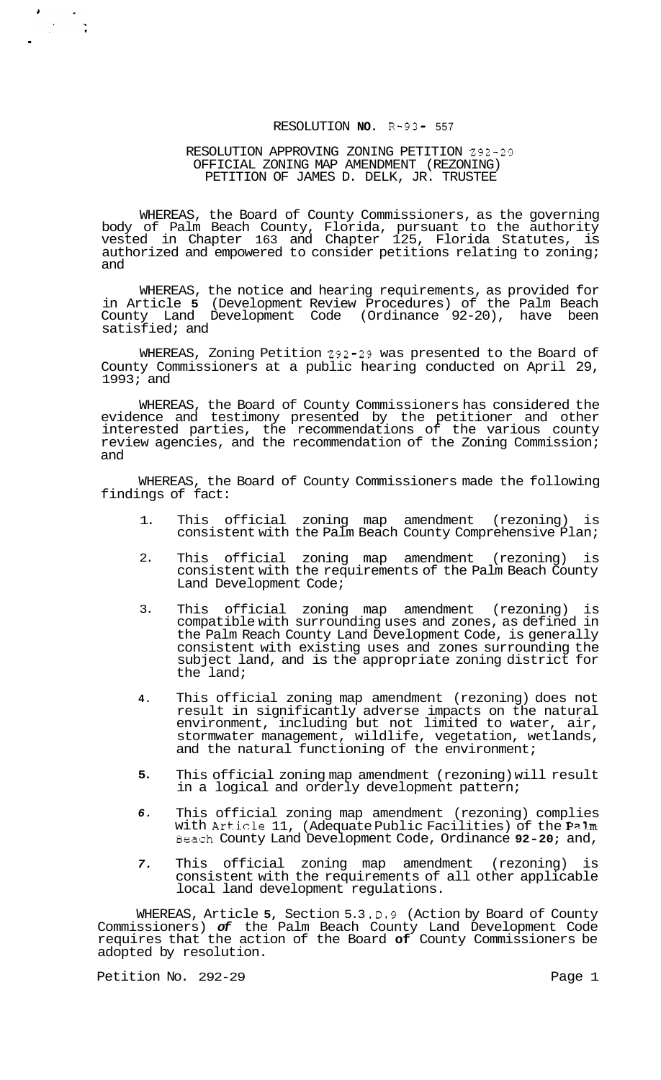## RESOLUTION **NO.** R-93- 557

## RESOLUTION APPROVING ZONING PETITION 292-29 OFFICIAL ZONING MAP AMENDMENT (REZONING) PETITION OF JAMES D. DELK, JR. TRUSTEE

WHEREAS, the Board of County Commissioners, as the governing body of Palm Beach County, Florida, pursuant to the authority vested in Chapter 163 and Chapter 125, Florida Statutes, is authorized and empowered to consider petitions relating to zoning; and

WHEREAS, the notice and hearing requirements, as provided for in Article **5** (Development Review Procedures) of the Palm Beach County Land Development Code (Ordinance 92-20), have been satisfied; and

WHEREAS, Zoning Petition 292-29 was presented to the Board of County Commissioners at a public hearing conducted on April 29, 1993 $\mathbf{i}$  and

WHEREAS, the Board of County Commissioners has considered the evidence and testimony presented by the petitioner and other interested parties, the recommendations of the various county review agencies, and the recommendation of the Zoning Commission; and

WHEREAS, the Board of County Commissioners made the following findings of fact:

- 1. This official zoning map amendment (rezoning) is consistent with the Palm Beach County Comprehensive Plan;
- 2. This official zoning map amendment (rezoning) is consistent with the requirements of the Palm Beach County Land Development Code;
- 3. This official zoning map amendment (rezoning) is compatible with surrounding uses and zones, as defined in the Palm Reach County Land Development Code, is generally consistent with existing uses and zones surrounding the subject land, and is the appropriate zoning district for the land;
- **4.**  This official zoning map amendment (rezoning) does not result in significantly adverse impacts on the natural environment, including but not limited to water, air, stormwater management, wildlife, vegetation, wetlands, and the natural functioning of the environment;
- **5.**  This official zoning map amendment (rezoning) will result in a logical and orderly development pattern;
- *6.*  This official zoning map amendment (rezoning) complies with Arkicle 11, (Adequate Public Facilities) of the PaJm deach County Land Development Code, Ordinance **92-20;** and,
- *7.*  This official zoning map amendment (rezoning) is consistent with the requirements of all other applicable local land development regulations.

WHEREAS, Article **5,** Section 5.3 .D.9 (Action by Board of County Commissioners) *of* the Palm Beach County Land Development Code requires that the action of the Board **of** County Commissioners be adopted by resolution.

Petition No. 292-29 Page 1

 $\frac{1}{2}$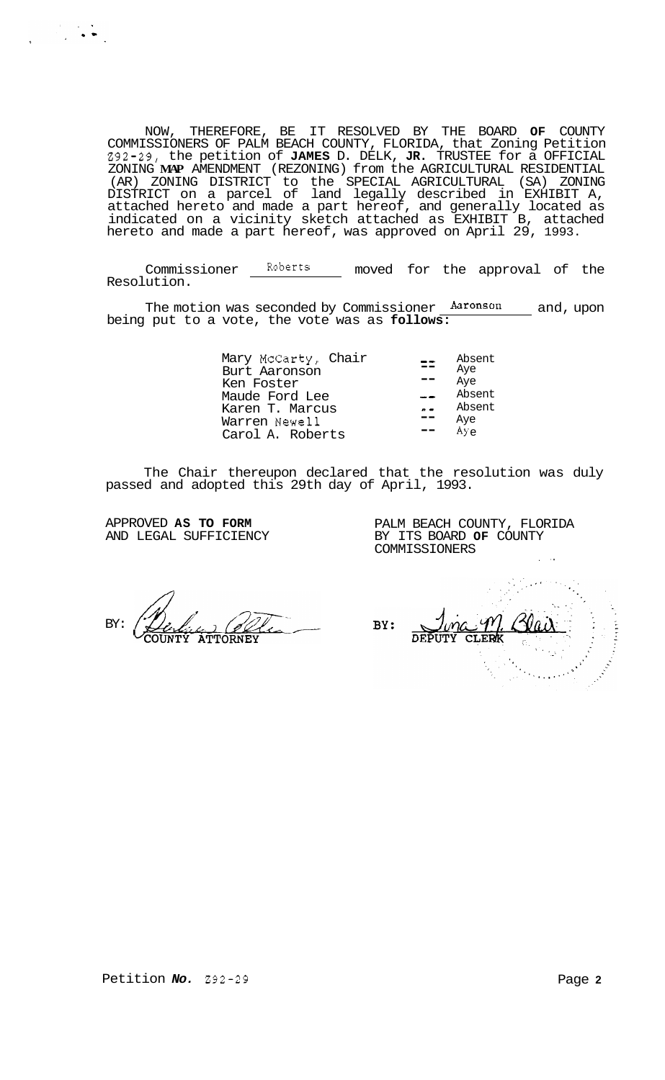NOW, THEREFORE, BE IT RESOLVED BY THE BOARD **OF** COUNTY COMMISSIONERS OF PALM BEACH COUNTY, FLORIDA, that Zoning Petition 292-29, the petition of **JAMES** D. DELK, **JR.** TRUSTEE for a OFFICIAL ZONING **MAP** AMENDMENT (REZONING) from the AGRICULTURAL RESIDENTIAL (AR) ZONING DISTRICT to the SPECIAL AGRICULTURAL (SA) ZONING DISTRICT on a parcel of land legally described in EXHIBIT A, attached hereto and made a part hereof, and generally located as indicated on a vicinity sketch attached as EXHIBIT B, attached hereto and made a part hereof, was approved on April 29, 1993.

Commissioner Roberts moved for the approval of the Resolution.

The motion was seconded by Commissioner  $\frac{\text{Aaron}}{\text{Aaron}}$  and, upon being put to a vote, the vote was as **follows:** 

> Mary McCarty, Chair  $\begin{array}{ccc} \hline -\hline -\hline -\hline -\hline -\hline \end{array}$ Burt Aaronson Ken Foster Maude Ford Lee Karen T. Marcus Warren Newel1 Carol A. Roberts  $\frac{\text{--}}{\text{--}}$  Aye Aye -- Absent Absent<br>Aye --<br>--<br>-- $A\bar{y}e$

The Chair thereupon declared that the resolution was duly passed and adopted this 29th day of April, 1993.

APPROVED **AS TO FORM**  AND LEGAL SUFFICIENCY

PALM BEACH COUNTY, FLORIDA BY ITS BOARD **OF** COUNTY COMMISSIONERS ..

BY: COUNTÝ **ATTORNEY** 

BY: DEP **CLERK**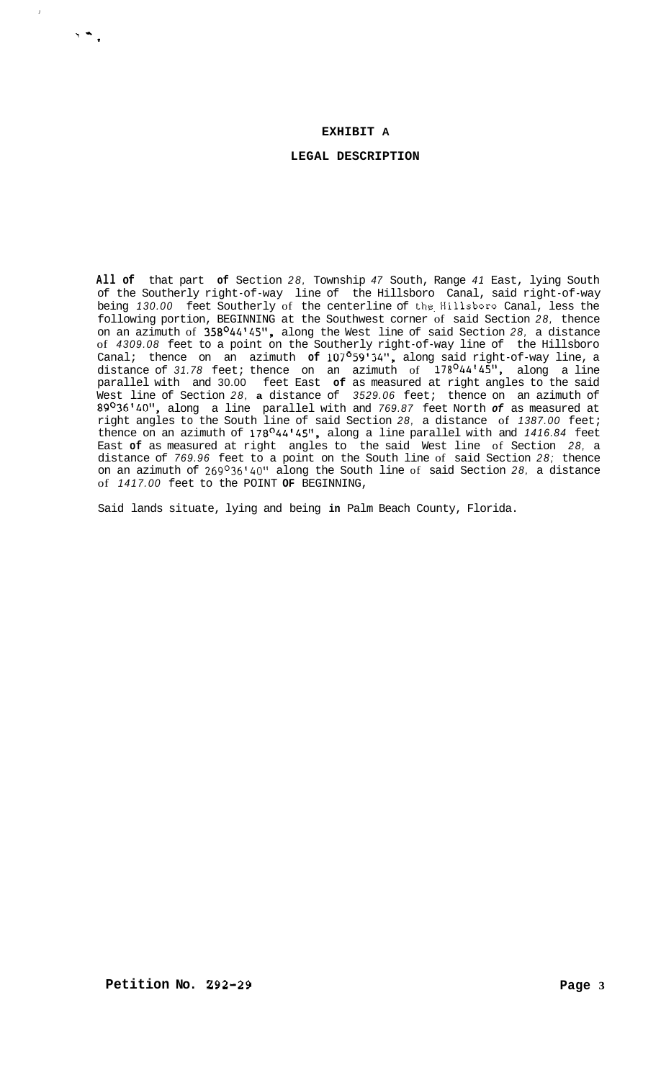#### **EXHIBIT A**

#### **LEGAL DESCRIPTION**

**All of** that part **of** Section *28,* Township *47* South, Range *41* East, lying South of the Southerly right-of-way line of the Hillsboro Canal, said right-of-way being 130.00 feet Southerly of the centerline of the Hillsboro Canal, less the following portion, BEGINNING at the Southwest corner of said Section *28,* thence on an azimuth of *358O44'45",* along the West line of said Section *28,* a distance of *4309.08* feet to a point on the Southerly right-of-way line of the Hillsboro Canal; thence on an azimuth **of** *107°59'34t1,* along said right-of-way line, a distance of *31.78* feet; thence on an azimuth of *178O44'45",* along a line parallel with and 30.00 feet East **of** as measured at right angles to the said West line of Section *28,* **a** distance of *3529.06* feet; thence on an azimuth of *89°36'40",* along a line parallel with and *769.87* feet North *of* as measured at right angles to the South line of said Section *28,* a distance of *1387.00* feet; thence on an azimuth of *178O44'45",* along a line parallel with and *1416.84* feet East **of** as measured at right angles to the said West line of Section *28,* a distance of *769.96* feet to a point on the South line of said Section *28;* thence on an azimuth of *269O36'40"* along the South line of said Section *28,* a distance of *1417.00* feet to the POINT **OF** BEGINNING,

Said lands situate, lying and being **in** Palm Beach County, Florida.

*J* 

 $\lambda$ <sup>-</sup>.